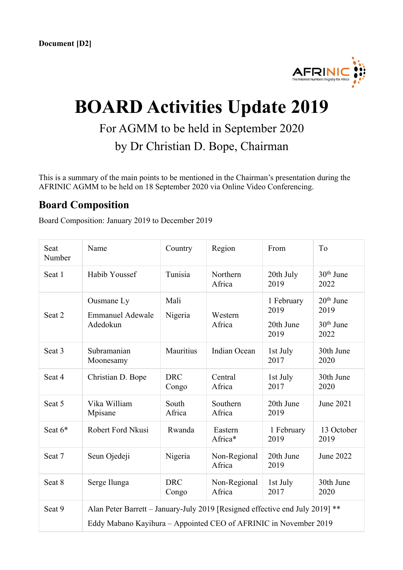

# **BOARD Activities Update 2019**

For AGMM to be held in September 2020

by Dr Christian D. Bope, Chairman

This is a summary of the main points to be mentioned in the Chairman's presentation during the AFRINIC AGMM to be held on 18 September 2020 via Online Video Conferencing.

### **Board Composition**

Board Composition: January 2019 to December 2019

| Seat<br>Number | Name                                                                                                                                             | Country             | Region                 | From                                    | To                                         |
|----------------|--------------------------------------------------------------------------------------------------------------------------------------------------|---------------------|------------------------|-----------------------------------------|--------------------------------------------|
| Seat 1         | Habib Youssef                                                                                                                                    | Tunisia             | Northern<br>Africa     | 20th July<br>2019                       | $30th$ June<br>2022                        |
| Seat 2         | Ousmane Ly<br><b>Emmanuel Adewale</b><br>Adedokun                                                                                                | Mali<br>Nigeria     | Western<br>Africa      | 1 February<br>2019<br>20th June<br>2019 | $20th$ June<br>2019<br>$30th$ June<br>2022 |
| Seat 3         | Subramanian<br>Moonesamy                                                                                                                         | Mauritius           | Indian Ocean           | 1st July<br>2017                        | 30th June<br>2020                          |
| Seat 4         | Christian D. Bope                                                                                                                                | <b>DRC</b><br>Congo | Central<br>Africa      | 1st July<br>2017                        | 30th June<br>2020                          |
| Seat 5         | Vika William<br>Mpisane                                                                                                                          | South<br>Africa     | Southern<br>Africa     | 20th June<br>2019                       | June 2021                                  |
| Seat $6*$      | Robert Ford Nkusi                                                                                                                                | Rwanda              | Eastern<br>Africa*     | 1 February<br>2019                      | 13 October<br>2019                         |
| Seat 7         | Seun Ojedeji                                                                                                                                     | Nigeria             | Non-Regional<br>Africa | 20th June<br>2019                       | June 2022                                  |
| Seat 8         | Serge Ilunga                                                                                                                                     | <b>DRC</b><br>Congo | Non-Regional<br>Africa | 1st July<br>2017                        | 30th June<br>2020                          |
| Seat 9         | Alan Peter Barrett - January-July 2019 [Resigned effective end July 2019] **<br>Eddy Mabano Kayihura - Appointed CEO of AFRINIC in November 2019 |                     |                        |                                         |                                            |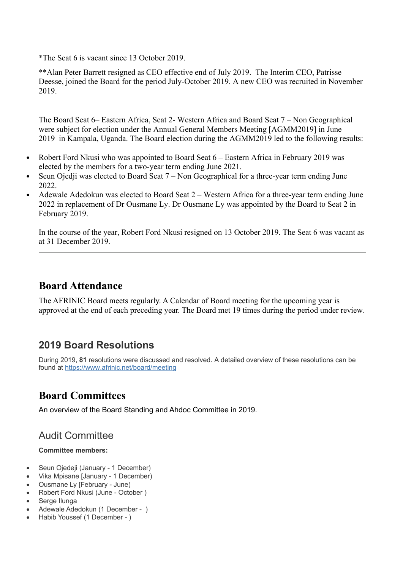\*The Seat 6 is vacant since 13 October 2019.

\*\*Alan Peter Barrett resigned as CEO effective end of July 2019. The Interim CEO, Patrisse Deesse, joined the Board for the period July-October 2019. A new CEO was recruited in November 2019.

The Board Seat 6– Eastern Africa, Seat 2- Western Africa and Board Seat 7 – Non Geographical were subject for election under the Annual General Members Meeting [AGMM2019] in June 2019 in Kampala, Uganda. The Board election during the AGMM2019 led to the following results:

- Robert Ford Nkusi who was appointed to Board Seat 6 Eastern Africa in February 2019 was elected by the members for a two-year term ending June 2021.
- Seun Ojedji was elected to Board Seat 7 Non Geographical for a three-year term ending June 2022.
- Adewale Adedokun was elected to Board Seat 2 Western Africa for a three-year term ending June 2022 in replacement of Dr Ousmane Ly. Dr Ousmane Ly was appointed by the Board to Seat 2 in February 2019.

In the course of the year, Robert Ford Nkusi resigned on 13 October 2019. The Seat 6 was vacant as at 31 December 2019.

# **Board Attendance**

The AFRINIC Board meets regularly. A Calendar of Board meeting for the upcoming year is approved at the end of each preceding year. The Board met 19 times during the period under review.

# **2019 Board Resolutions**

During 2019, **81** resolutions were discussed and resolved. A detailed overview of these resolutions can be found at https://www.afrinic.net/board/meeting

# **Board Committees**

An overview of the Board Standing and Ahdoc Committee in 2019.

# Audit Committee

#### **Committee members:**

- Seun Ojedeji (January 1 December)
- Vika Mpisane [January 1 December)
- Ousmane Ly [February June)
- Robert Ford Nkusi (June October )
- Serge Ilunga
- Adewale Adedokun (1 December )
- Habib Youssef (1 December )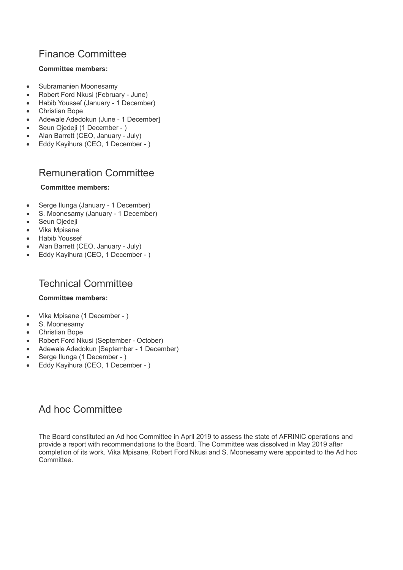### Finance Committee

#### **Committee members:**

- Subramanien Moonesamy
- Robert Ford Nkusi (February June)
- Habib Youssef (January 1 December)
- Christian Bope
- Adewale Adedokun (June 1 December]
- Seun Ojedeji (1 December )
- Alan Barrett (CEO, January July)
- Eddy Kayihura (CEO, 1 December )

### Remuneration Committee

#### **Committee members:**

- Serge Ilunga (January 1 December)
- S. Moonesamy (January 1 December)
- Seun Ojedeji
- Vika Mpisane
- Habib Youssef
- Alan Barrett (CEO, January July)
- Eddy Kayihura (CEO, 1 December )

### Technical Committee

#### **Committee members:**

- Vika Mpisane (1 December )
- S. Moonesamy
- Christian Bope
- Robert Ford Nkusi (September October)
- Adewale Adedokun [September 1 December)
- Serge Ilunga (1 December )
- Eddy Kayihura (CEO, 1 December )

### Ad hoc Committee

The Board constituted an Ad hoc Committee in April 2019 to assess the state of AFRINIC operations and provide a report with recommendations to the Board. The Committee was dissolved in May 2019 after completion of its work. Vika Mpisane, Robert Ford Nkusi and S. Moonesamy were appointed to the Ad hoc Committee.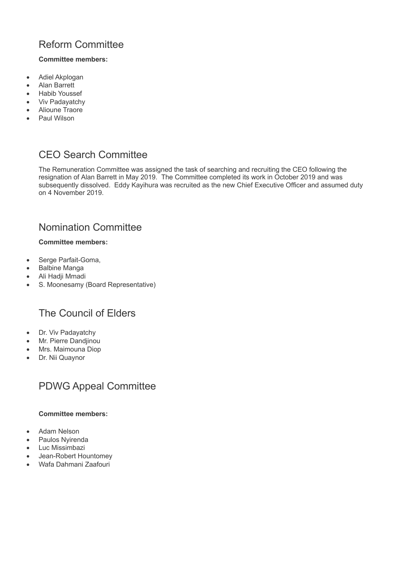# Reform Committee

#### **Committee members:**

- Adiel Akplogan
- Alan Barrett
- Habib Youssef
- Viv Padayatchy
- Alioune Traore
- Paul Wilson

# CEO Search Committee

The Remuneration Committee was assigned the task of searching and recruiting the CEO following the resignation of Alan Barrett in May 2019. The Committee completed its work in October 2019 and was subsequently dissolved. Eddy Kayihura was recruited as the new Chief Executive Officer and assumed duty on 4 November 2019.

### Nomination Committee

#### **Committee members:**

- Serge Parfait-Goma,
- Balbine Manga
- Ali Hadji Mmadi
- S. Moonesamy (Board Representative)

### The Council of Elders

- Dr. Viv Padayatchy
- Mr. Pierre Dandjinou
- Mrs. Maimouna Diop
- Dr. Nii Quaynor

#### PDWG Appeal Committee

#### **Committee members:**

- Adam Nelson
- Paulos Nyirenda
- Luc Missimbazi
- Jean-Robert Hountomey
- Wafa Dahmani Zaafouri